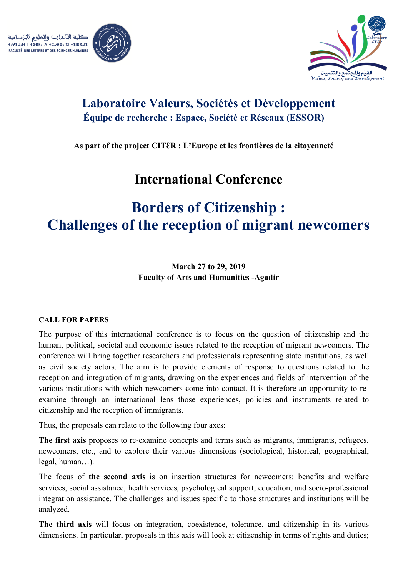



### **Laboratoire Valeurs, Sociétés et Développement Équipe de recherche : Espace, Société et Réseaux (ESSOR)**

**As part of the project CITƐR : L'Europe et les frontières de la citoyenneté**

## **International Conference**

# **Borders of Citizenship : Challenges of the reception of migrant newcomers**

**March 27 to 29, 2019 Faculty of Arts and Humanities -Agadir**

#### **CALL FOR PAPERS**

The purpose of this international conference is to focus on the question of citizenship and the human, political, societal and economic issues related to the reception of migrant newcomers. The conference will bring together researchers and professionals representing state institutions, as well as civil society actors. The aim is to provide elements of response to questions related to the reception and integration of migrants, drawing on the experiences and fields of intervention of the various institutions with which newcomers come into contact. It is therefore an opportunity to reexamine through an international lens those experiences, policies and instruments related to citizenship and the reception of immigrants.

Thus, the proposals can relate to the following four axes:

**The first axis** proposes to re-examine concepts and terms such as migrants, immigrants, refugees, newcomers, etc., and to explore their various dimensions (sociological, historical, geographical, legal, human…).

The focus of **the second axis** is on insertion structures for newcomers: benefits and welfare services, social assistance, health services, psychological support, education, and socio-professional integration assistance. The challenges and issues specific to those structures and institutions will be analyzed.

**The third axis** will focus on integration, coexistence, tolerance, and citizenship in its various dimensions. In particular, proposals in this axis will look at citizenship in terms of rights and duties;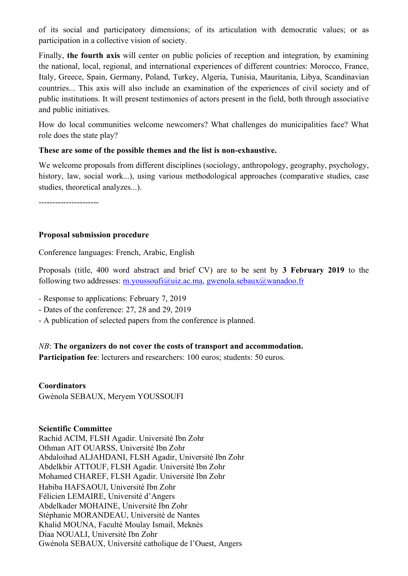of its social and participatory dimensions; of its articulation with democratic values; or as participation in a collective vision of society.

Finally, **the fourth axis** will center on public policies of reception and integration, by examining the national, local, regional, and international experiences of different countries: Morocco, France, Italy, Greece, Spain, Germany, Poland, Turkey, Algeria, Tunisia, Mauritania, Libya, Scandinavian countries... This axis will also include an examination of the experiences of civil society and of public institutions. It will present testimonies of actors present in the field, both through associative and public initiatives.

How do local communities welcome newcomers? What challenges do municipalities face? What role does the state play?

#### **These are some of the possible themes and the list is non-exhaustive.**

We welcome proposals from different disciplines (sociology, anthropology, geography, psychology, history, law, social work...), using various methodological approaches (comparative studies, case studies, theoretical analyzes...).

----------------------

#### **Proposal submission procedure**

Conference languages: French, Arabic, English

Proposals (title, 400 word abstract and brief CV) are to be sent by **3 February 2019** to the following two addresses: m.youssoufi@uiz.ac.ma, gwenola.sebaux@wanadoo.fr

- Response to applications: February 7, 2019

- Dates of the conference: 27, 28 and 29, 2019
- A publication of selected papers from the conference is planned.

*NB*: **The organizers do not cover the costs of transport and accommodation.**

**Participation fee**: lecturers and researchers: 100 euros; students: 50 euros.

#### **Coordinators**

Gwénola SEBAUX, Meryem YOUSSOUFI

#### **Scientific Committee**

Rachid ACIM, FLSH Agadir. Université Ibn Zohr Othman AIT OUARSS, Université Ibn Zohr Abdaloihad ALJAHDANI, FLSH Agadir, Université Ibn Zohr Abdelkbir ATTOUF, FLSH Agadir. Université Ibn Zohr Mohamed CHAREF, FLSH Agadir. Université Ibn Zohr Habiba HAFSAOUI, Université Ibn Zohr Félicien LEMAIRE, Université d'Angers Abdelkader MOHAINE, Université Ibn Zohr Stéphanie MORANDEAU, Université de Nantes Khalid MOUNA, Faculté Moulay Ismail, Meknès Diaa NOUALI, Université Ibn Zohr Gwénola SEBAUX, Université catholique de l'Ouest, Angers